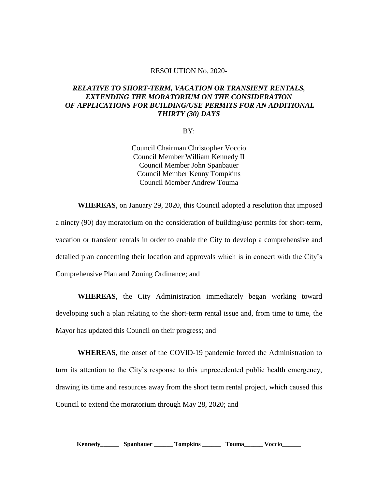## RESOLUTION No. 2020-

## *RELATIVE TO SHORT-TERM, VACATION OR TRANSIENT RENTALS, EXTENDING THE MORATORIUM ON THE CONSIDERATION OF APPLICATIONS FOR BUILDING/USE PERMITS FOR AN ADDITIONAL THIRTY (30) DAYS*

BY:

Council Chairman Christopher Voccio Council Member William Kennedy II Council Member John Spanbauer Council Member Kenny Tompkins Council Member Andrew Touma

**WHEREAS**, on January 29, 2020, this Council adopted a resolution that imposed a ninety (90) day moratorium on the consideration of building/use permits for short-term, vacation or transient rentals in order to enable the City to develop a comprehensive and detailed plan concerning their location and approvals which is in concert with the City's Comprehensive Plan and Zoning Ordinance; and

**WHEREAS**, the City Administration immediately began working toward developing such a plan relating to the short-term rental issue and, from time to time, the Mayor has updated this Council on their progress; and

**WHEREAS**, the onset of the COVID-19 pandemic forced the Administration to turn its attention to the City's response to this unprecedented public health emergency, drawing its time and resources away from the short term rental project, which caused this Council to extend the moratorium through May 28, 2020; and

**Kennedy\_\_\_\_\_\_ Spanbauer \_\_\_\_\_\_ Tompkins \_\_\_\_\_\_ Touma\_\_\_\_\_\_ Voccio\_\_\_\_\_\_**